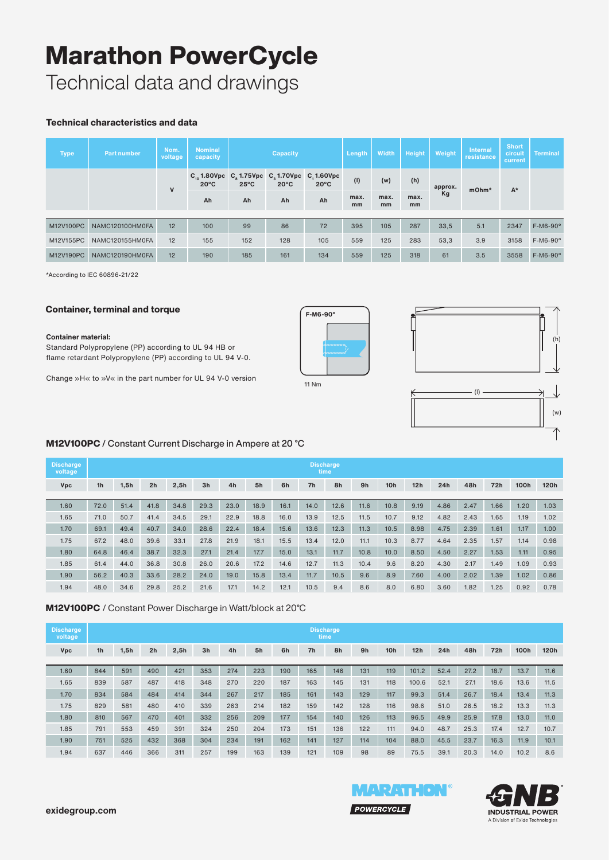# Marathon PowerCycle

Technical data and drawings

#### Technical characteristics and data

| <b>Type</b> | <b>Part number</b> | Nom.<br>voltage | <b>Nominal</b><br>capacity                                         |                | <b>Capacity</b> |                              | Length     | Width      | Height     | Weight  | <b>Internal</b><br>resistance | <b>Short</b><br>circuit<br>current | <b>Terminal</b> |
|-------------|--------------------|-----------------|--------------------------------------------------------------------|----------------|-----------------|------------------------------|------------|------------|------------|---------|-------------------------------|------------------------------------|-----------------|
|             |                    | $\mathsf{v}$    | $C_{10}$ 1.80Vpc $C_{8}$ 1.75Vpc $C_{3}$ 1.70Vpc<br>$20^{\circ}$ C | $25^{\circ}$ C | $20^{\circ}$ C  | C, 1.60Vpc<br>$20^{\circ}$ C | (1)        | (w)        | (h)        | approx. | mOhm*                         | $A^*$                              |                 |
|             |                    |                 | Ah                                                                 | Ah<br>Ah       |                 | Ah                           | max.<br>mm | max.<br>mm | max.<br>mm | Kg      |                               |                                    |                 |
|             |                    |                 |                                                                    |                |                 |                              |            |            |            |         |                               |                                    |                 |
| M12V100PC   | NAMC120100HM0FA    | 12              | 100                                                                | 99             | 86              | 72                           | 395        | 105        | 287        | 33,5    | 5.1                           | 2347                               | $F-M6-90^\circ$ |
| M12V155PC   | NAMC120155HM0FA    | 12              | 155                                                                | 152            | 128             | 105                          | 559        | 125        | 283        | 53,3    | 3.9                           | 3158                               | $F-M6-90^\circ$ |
| M12V190PC   | NAMC120190HM0FA    | 12              | 190                                                                | 185            | 161             | 134                          | 559        | 125        | 318        | 61      | 3.5                           | 3558                               | $F-M6-90^\circ$ |

\*According to IEC 60896-21/22

#### Container, terminal and torque

**Container material:**

Standard Polypropylene (PP) according to UL 94 HB or flame retardant Polypropylene (PP) according to UL 94 V-0.

Change »H« to »V« in the part number for UL 94 V-0 version 11 Nm







#### M12V100PC / Constant Current Discharge in Ampere at 20 °C

| <b>Discharge</b><br>voltage | <b>Discharge</b><br>time |      |                |      |                |      |      |      |                |      |      |                 |      |      |      |      |      |                   |
|-----------------------------|--------------------------|------|----------------|------|----------------|------|------|------|----------------|------|------|-----------------|------|------|------|------|------|-------------------|
| <b>Vpc</b>                  | 1 <sub>h</sub>           | 1,5h | 2 <sub>h</sub> | 2,5h | 3 <sub>h</sub> | 4h   | 5h   | 6h   | 7 <sub>h</sub> | 8h   | 9h   | 10 <sub>h</sub> | 12h  | 24h  | 48h  | 72h  | 100h | 120h              |
|                             |                          |      |                |      |                |      |      |      |                |      |      |                 |      |      |      |      |      |                   |
| 1.60                        | 72.0                     | 51.4 | 41.8           | 34.8 | 29.3           | 23.0 | 18.9 | 16.1 | 14.0           | 12.6 | 11.6 | 10.8            | 9.19 | 4.86 | 2.47 | 1.66 | 1.20 | 1.03              |
| 1.65                        | 71.0                     | 50.7 | 41.4           | 34.5 | 29.1           | 22.9 | 18.8 | 16.0 | 13.9           | 12.5 | 11.5 | 10.7            | 9.12 | 4.82 | 2.43 | 1.65 | 1.19 | 1.02              |
| 1.70                        | 69.1                     | 49.4 | 40.7           | 34.0 | 28.6           | 22.4 | 18.4 | 15.6 | 13.6           | 12.3 | 11.3 | 10.5            | 8.98 | 4.75 | 2.39 | 1.61 | 1.17 | 1.00 <sub>1</sub> |
| 1.75                        | 67.2                     | 48.0 | 39.6           | 33.1 | 27.8           | 21.9 | 18.1 | 15.5 | 13.4           | 12.0 | 11.1 | 10.3            | 8.77 | 4.64 | 2.35 | 1.57 | 1.14 | 0.98              |
| 1.80                        | 64.8                     | 46.4 | 38.7           | 32.3 | 27.1           | 21.4 | 17.7 | 15.0 | 13.1           | 11.7 | 10.8 | 10.0            | 8.50 | 4.50 | 2.27 | 1.53 | 1.11 | 0.95              |
| 1.85                        | 61.4                     | 44.0 | 36.8           | 30.8 | 26.0           | 20.6 | 17.2 | 14.6 | 12.7           | 11.3 | 10.4 | 9.6             | 8.20 | 4.30 | 2.17 | 1.49 | 1.09 | 0.93              |
| 1.90                        | 56.2                     | 40.3 | 33.6           | 28.2 | 24.0           | 19.0 | 15.8 | 13.4 | 11.7           | 10.5 | 9.6  | 8.9             | 7.60 | 4.00 | 2.02 | 1.39 | 1.02 | 0.86              |
| 1.94                        | 48.0                     | 34.6 | 29.8           | 25.2 | 21.6           | 17.1 | 14.2 | 12.1 | 10.5           | 9.4  | 8.6  | 8.0             | 6.80 | 3.60 | 1.82 | 1.25 | 0.92 | 0.78              |

#### M12V100PC / Constant Power Discharge in Watt/block at 20°C

| <b>Discharge</b><br>voltage |                |      |                |      |                |     |     |     |                | <b>Discharge</b><br>time |     |                 |       |      |      |      |      |      |
|-----------------------------|----------------|------|----------------|------|----------------|-----|-----|-----|----------------|--------------------------|-----|-----------------|-------|------|------|------|------|------|
| <b>Vpc</b>                  | 1 <sub>h</sub> | 1,5h | 2 <sub>h</sub> | 2,5h | 3 <sub>h</sub> | 4h  | 5h  | 6h  | 7 <sub>h</sub> | 8h                       | 9h  | 10 <sub>h</sub> | 12h   | 24h  | 48h  | 72h  | 100h | 120h |
|                             |                |      |                |      |                |     |     |     |                |                          |     |                 |       |      |      |      |      |      |
| 1.60                        | 844            | 591  | 490            | 421  | 353            | 274 | 223 | 190 | 165            | 146                      | 131 | 119             | 101.2 | 52.4 | 27.2 | 18.7 | 13.7 | 11.6 |
| 1.65                        | 839            | 587  | 487            | 418  | 348            | 270 | 220 | 187 | 163            | 145                      | 131 | 118             | 100.6 | 52.1 | 27.1 | 18.6 | 13.6 | 11.5 |
| 1.70                        | 834            | 584  | 484            | 414  | 344            | 267 | 217 | 185 | 161            | 143                      | 129 | 117             | 99.3  | 51.4 | 26.7 | 18.4 | 13.4 | 11.3 |
| 1.75                        | 829            | 581  | 480            | 410  | 339            | 263 | 214 | 182 | 159            | 142                      | 128 | 116             | 98.6  | 51.0 | 26.5 | 18.2 | 13.3 | 11.3 |
| 1.80                        | 810            | 567  | 470            | 401  | 332            | 256 | 209 | 177 | 154            | 140                      | 126 | 113             | 96.5  | 49.9 | 25.9 | 17.8 | 13.0 | 11.0 |
| 1.85                        | 791            | 553  | 459            | 391  | 324            | 250 | 204 | 173 | 151            | 136                      | 122 | 111             | 94.0  | 48.7 | 25.3 | 17.4 | 12.7 | 10.7 |
| 1.90                        | 751            | 525  | 432            | 368  | 304            | 234 | 191 | 162 | 141            | 127                      | 114 | 104             | 88.0  | 45.5 | 23.7 | 16.3 | 11.9 | 10.1 |
| 1.94                        | 637            | 446  | 366            | 311  | 257            | 199 | 163 | 139 | 121            | 109                      | 98  | 89              | 75.5  | 39.1 | 20.3 | 14.0 | 10.2 | 8.6  |